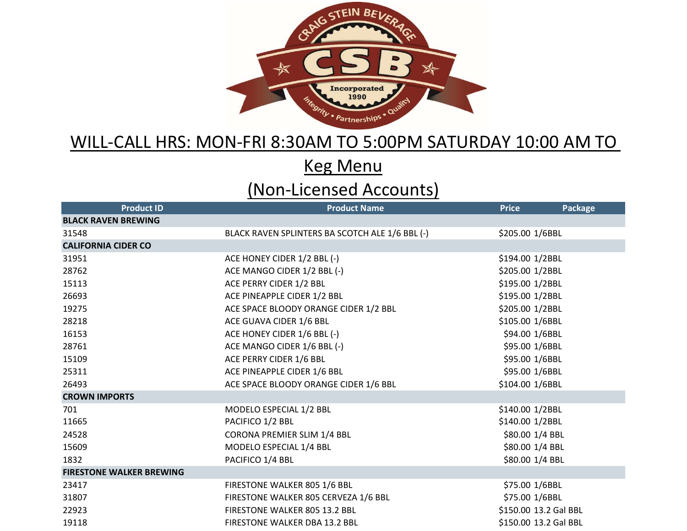

## WILL-CALL HRS: MON-FRI 8:30AM TO 5:00PM SATURDAY 10:00 AM TO

Keg Menu

## (Non-Licensed Accounts)

| <b>Product ID</b>               | <b>Product Name</b>                             | <b>Price</b>          | Package |
|---------------------------------|-------------------------------------------------|-----------------------|---------|
| <b>BLACK RAVEN BREWING</b>      |                                                 |                       |         |
| 31548                           | BLACK RAVEN SPLINTERS BA SCOTCH ALE 1/6 BBL (-) | \$205.00 1/6BBL       |         |
| <b>CALIFORNIA CIDER CO</b>      |                                                 |                       |         |
| 31951                           | ACE HONEY CIDER 1/2 BBL (-)                     | \$194.00 1/2BBL       |         |
| 28762                           | ACE MANGO CIDER 1/2 BBL (-)                     | \$205.00 1/2BBL       |         |
| 15113                           | ACE PERRY CIDER 1/2 BBL                         | \$195.00 1/2BBL       |         |
| 26693                           | ACE PINEAPPLE CIDER 1/2 BBL                     | \$195.00 1/2BBL       |         |
| 19275                           | ACE SPACE BLOODY ORANGE CIDER 1/2 BBL           | \$205.00 1/2BBL       |         |
| 28218                           | ACE GUAVA CIDER 1/6 BBL                         | \$105.00 1/6BBL       |         |
| 16153                           | ACE HONEY CIDER 1/6 BBL (-)                     | \$94.00 1/6BBL        |         |
| 28761                           | ACE MANGO CIDER 1/6 BBL (-)                     | \$95.00 1/6BBL        |         |
| 15109                           | ACE PERRY CIDER 1/6 BBL                         | \$95.00 1/6BBL        |         |
| 25311                           | ACE PINEAPPLE CIDER 1/6 BBL                     | \$95.00 1/6BBL        |         |
| 26493                           | ACE SPACE BLOODY ORANGE CIDER 1/6 BBL           | \$104.00 1/6BBL       |         |
| <b>CROWN IMPORTS</b>            |                                                 |                       |         |
| 701                             | MODELO ESPECIAL 1/2 BBL                         | \$140.00 1/2BBL       |         |
| 11665                           | PACIFICO 1/2 BBL                                | \$140.00 1/2BBL       |         |
| 24528                           | CORONA PREMIER SLIM 1/4 BBL                     | \$80.00 1/4 BBL       |         |
| 15609                           | MODELO ESPECIAL 1/4 BBL                         | \$80.00 1/4 BBL       |         |
| 1832                            | PACIFICO 1/4 BBL                                | \$80.00 1/4 BBL       |         |
| <b>FIRESTONE WALKER BREWING</b> |                                                 |                       |         |
| 23417                           | FIRESTONE WALKER 805 1/6 BBL                    | \$75.00 1/6BBL        |         |
| 31807                           | FIRESTONE WALKER 805 CERVEZA 1/6 BBL            | \$75.00 1/6BBL        |         |
| 22923                           | FIRESTONE WALKER 805 13.2 BBL                   | \$150.00 13.2 Gal BBL |         |
| 19118                           | <b>FIRESTONE WALKER DBA 13.2 BBL</b>            | \$150.00 13.2 Gal BBL |         |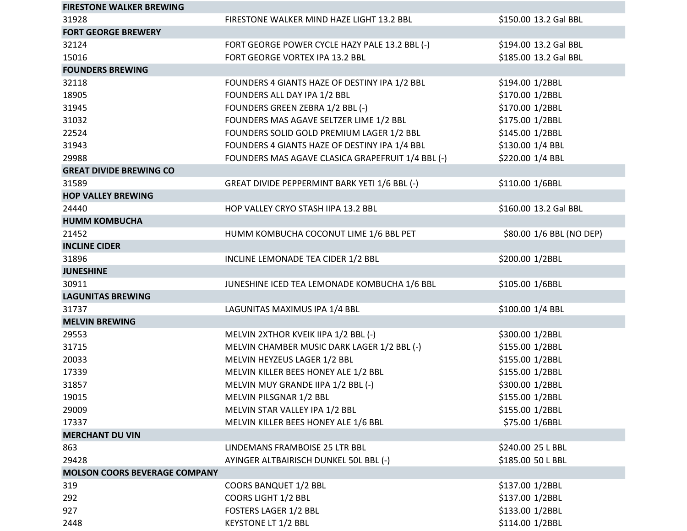| <b>FIRESTONE WALKER BREWING</b>      |                                                   |                          |
|--------------------------------------|---------------------------------------------------|--------------------------|
| 31928                                | FIRESTONE WALKER MIND HAZE LIGHT 13.2 BBL         | \$150.00 13.2 Gal BBL    |
| <b>FORT GEORGE BREWERY</b>           |                                                   |                          |
| 32124                                | FORT GEORGE POWER CYCLE HAZY PALE 13.2 BBL (-)    | \$194.00 13.2 Gal BBL    |
| 15016                                | FORT GEORGE VORTEX IPA 13.2 BBL                   | \$185.00 13.2 Gal BBL    |
| <b>FOUNDERS BREWING</b>              |                                                   |                          |
| 32118                                | FOUNDERS 4 GIANTS HAZE OF DESTINY IPA 1/2 BBL     | \$194.00 1/2BBL          |
| 18905                                | FOUNDERS ALL DAY IPA 1/2 BBL                      | \$170.00 1/2BBL          |
| 31945                                | FOUNDERS GREEN ZEBRA 1/2 BBL (-)                  | \$170.00 1/2BBL          |
| 31032                                | FOUNDERS MAS AGAVE SELTZER LIME 1/2 BBL           | \$175.00 1/2BBL          |
| 22524                                | FOUNDERS SOLID GOLD PREMIUM LAGER 1/2 BBL         | \$145.00 1/2BBL          |
| 31943                                | FOUNDERS 4 GIANTS HAZE OF DESTINY IPA 1/4 BBL     | \$130.00 1/4 BBL         |
| 29988                                | FOUNDERS MAS AGAVE CLASICA GRAPEFRUIT 1/4 BBL (-) | \$220.00 1/4 BBL         |
| <b>GREAT DIVIDE BREWING CO</b>       |                                                   |                          |
| 31589                                | GREAT DIVIDE PEPPERMINT BARK YETI 1/6 BBL (-)     | \$110.00 1/6BBL          |
| <b>HOP VALLEY BREWING</b>            |                                                   |                          |
| 24440                                | HOP VALLEY CRYO STASH IIPA 13.2 BBL               | \$160.00 13.2 Gal BBL    |
| <b>HUMM KOMBUCHA</b>                 |                                                   |                          |
| 21452                                | HUMM KOMBUCHA COCONUT LIME 1/6 BBL PET            | \$80.00 1/6 BBL (NO DEP) |
| <b>INCLINE CIDER</b>                 |                                                   |                          |
| 31896                                | INCLINE LEMONADE TEA CIDER 1/2 BBL                | \$200.00 1/2BBL          |
| <b>JUNESHINE</b>                     |                                                   |                          |
| 30911                                | JUNESHINE ICED TEA LEMONADE KOMBUCHA 1/6 BBL      | \$105.00 1/6BBL          |
| <b>LAGUNITAS BREWING</b>             |                                                   |                          |
| 31737                                | LAGUNITAS MAXIMUS IPA 1/4 BBL                     | \$100.00 1/4 BBL         |
| <b>MELVIN BREWING</b>                |                                                   |                          |
| 29553                                | MELVIN 2XTHOR KVEIK IIPA 1/2 BBL (-)              | \$300.00 1/2BBL          |
| 31715                                | MELVIN CHAMBER MUSIC DARK LAGER 1/2 BBL (-)       | \$155.00 1/2BBL          |
| 20033                                | MELVIN HEYZEUS LAGER 1/2 BBL                      | \$155.00 1/2BBL          |
| 17339                                | MELVIN KILLER BEES HONEY ALE 1/2 BBL              | \$155.00 1/2BBL          |
| 31857                                | MELVIN MUY GRANDE IIPA 1/2 BBL (-)                | \$300.00 1/2BBL          |
| 19015                                | MELVIN PILSGNAR 1/2 BBL                           | \$155.00 1/2BBL          |
| 29009                                | MELVIN STAR VALLEY IPA 1/2 BBL                    | \$155.00 1/2BBL          |
| 17337                                | MELVIN KILLER BEES HONEY ALE 1/6 BBL              | \$75.00 1/6BBL           |
| <b>MERCHANT DU VIN</b>               |                                                   |                          |
| 863                                  | LINDEMANS FRAMBOISE 25 LTR BBL                    | \$240.00 25 L BBL        |
| 29428                                | AYINGER ALTBAIRISCH DUNKEL 50L BBL (-)            | \$185.00 50 L BBL        |
| <b>MOLSON COORS BEVERAGE COMPANY</b> |                                                   |                          |
| 319                                  | <b>COORS BANQUET 1/2 BBL</b>                      | \$137.00 1/2BBL          |
| 292                                  | COORS LIGHT 1/2 BBL                               | \$137.00 1/2BBL          |
| 927                                  | <b>FOSTERS LAGER 1/2 BBL</b>                      | \$133.00 1/2BBL          |
| 2448                                 | <b>KEYSTONE LT 1/2 BBL</b>                        | \$114.00 1/2BBL          |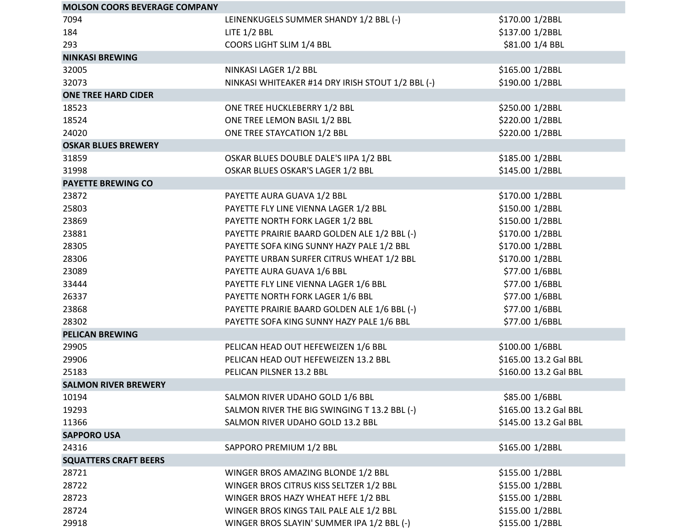| <b>MOLSON COORS BEVERAGE COMPANY</b> |                                                   |                       |
|--------------------------------------|---------------------------------------------------|-----------------------|
| 7094                                 | LEINENKUGELS SUMMER SHANDY 1/2 BBL (-)            | \$170.00 1/2BBL       |
| 184                                  | LITE $1/2$ BBL                                    | \$137.00 1/2BBL       |
| 293                                  | COORS LIGHT SLIM 1/4 BBL                          | \$81.00 1/4 BBL       |
| <b>NINKASI BREWING</b>               |                                                   |                       |
| 32005                                | NINKASI LAGER 1/2 BBL                             | \$165.00 1/2BBL       |
| 32073                                | NINKASI WHITEAKER #14 DRY IRISH STOUT 1/2 BBL (-) | \$190.00 1/2BBL       |
| <b>ONE TREE HARD CIDER</b>           |                                                   |                       |
| 18523                                | ONE TREE HUCKLEBERRY 1/2 BBL                      | \$250.00 1/2BBL       |
| 18524                                | ONE TREE LEMON BASIL 1/2 BBL                      | \$220.00 1/2BBL       |
| 24020                                | ONE TREE STAYCATION 1/2 BBL                       | \$220.00 1/2BBL       |
| <b>OSKAR BLUES BREWERY</b>           |                                                   |                       |
| 31859                                | OSKAR BLUES DOUBLE DALE'S IIPA 1/2 BBL            | \$185.00 1/2BBL       |
| 31998                                | OSKAR BLUES OSKAR'S LAGER 1/2 BBL                 | \$145.00 1/2BBL       |
| <b>PAYETTE BREWING CO</b>            |                                                   |                       |
| 23872                                | PAYETTE AURA GUAVA 1/2 BBL                        | \$170.00 1/2BBL       |
| 25803                                | PAYETTE FLY LINE VIENNA LAGER 1/2 BBL             | \$150.00 1/2BBL       |
| 23869                                | PAYETTE NORTH FORK LAGER 1/2 BBL                  | \$150.00 1/2BBL       |
| 23881                                | PAYETTE PRAIRIE BAARD GOLDEN ALE 1/2 BBL (-)      | \$170.00 1/2BBL       |
| 28305                                | PAYETTE SOFA KING SUNNY HAZY PALE 1/2 BBL         | \$170.00 1/2BBL       |
| 28306                                | PAYETTE URBAN SURFER CITRUS WHEAT 1/2 BBL         | \$170.00 1/2BBL       |
| 23089                                | PAYETTE AURA GUAVA 1/6 BBL                        | \$77.00 1/6BBL        |
| 33444                                | PAYETTE FLY LINE VIENNA LAGER 1/6 BBL             | \$77.00 1/6BBL        |
| 26337                                | PAYETTE NORTH FORK LAGER 1/6 BBL                  | \$77.00 1/6BBL        |
| 23868                                | PAYETTE PRAIRIE BAARD GOLDEN ALE 1/6 BBL (-)      | \$77.00 1/6BBL        |
| 28302                                | PAYETTE SOFA KING SUNNY HAZY PALE 1/6 BBL         | \$77.00 1/6BBL        |
| <b>PELICAN BREWING</b>               |                                                   |                       |
| 29905                                | PELICAN HEAD OUT HEFEWEIZEN 1/6 BBL               | \$100.00 1/6BBL       |
| 29906                                | PELICAN HEAD OUT HEFEWEIZEN 13.2 BBL              | \$165.00 13.2 Gal BBL |
| 25183                                | PELICAN PILSNER 13.2 BBL                          | \$160.00 13.2 Gal BBL |
| <b>SALMON RIVER BREWERY</b>          |                                                   |                       |
| 10194                                | SALMON RIVER UDAHO GOLD 1/6 BBL                   | \$85.00 1/6BBL        |
| 19293                                | SALMON RIVER THE BIG SWINGING T 13.2 BBL (-)      | \$165.00 13.2 Gal BBL |
| 11366                                | SALMON RIVER UDAHO GOLD 13.2 BBL                  | \$145.00 13.2 Gal BBL |
| <b>SAPPORO USA</b>                   |                                                   |                       |
| 24316                                | SAPPORO PREMIUM 1/2 BBL                           | \$165.00 1/2BBL       |
| <b>SQUATTERS CRAFT BEERS</b>         |                                                   |                       |
| 28721                                | WINGER BROS AMAZING BLONDE 1/2 BBL                | \$155.00 1/2BBL       |
| 28722                                | WINGER BROS CITRUS KISS SELTZER 1/2 BBL           | \$155.00 1/2BBL       |
| 28723                                | WINGER BROS HAZY WHEAT HEFE 1/2 BBL               | \$155.00 1/2BBL       |
| 28724                                | WINGER BROS KINGS TAIL PALE ALE 1/2 BBL           | \$155.00 1/2BBL       |
| 29918                                | WINGER BROS SLAYIN' SUMMER IPA 1/2 BBL (-)        | \$155.00 1/2BBL       |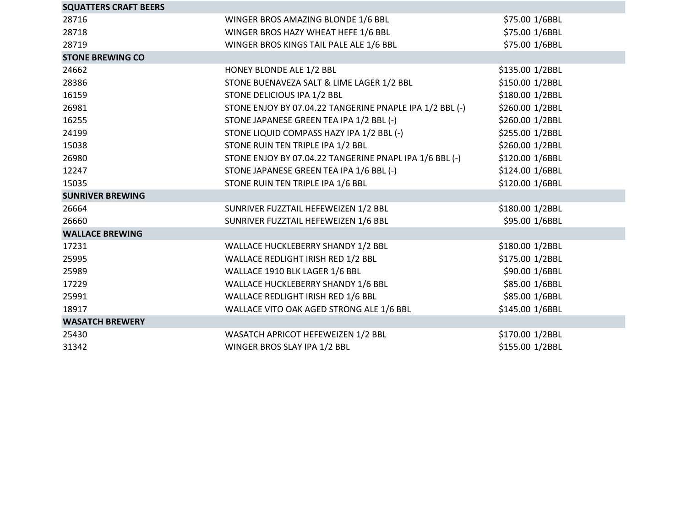| <b>SQUATTERS CRAFT BEERS</b> |                                                          |                 |
|------------------------------|----------------------------------------------------------|-----------------|
| 28716                        | WINGER BROS AMAZING BLONDE 1/6 BBL                       | \$75.00 1/6BBL  |
| 28718                        | WINGER BROS HAZY WHEAT HEFE 1/6 BBL                      | \$75.00 1/6BBL  |
| 28719                        | WINGER BROS KINGS TAIL PALE ALE 1/6 BBL                  | \$75.00 1/6BBL  |
| <b>STONE BREWING CO</b>      |                                                          |                 |
| 24662                        | HONEY BLONDE ALE 1/2 BBL                                 | \$135.00 1/2BBL |
| 28386                        | STONE BUENAVEZA SALT & LIME LAGER 1/2 BBL                | \$150.00 1/2BBL |
| 16159                        | STONE DELICIOUS IPA 1/2 BBL                              | \$180.00 1/2BBL |
| 26981                        | STONE ENJOY BY 07.04.22 TANGERINE PNAPLE IPA 1/2 BBL (-) | \$260.00 1/2BBL |
| 16255                        | STONE JAPANESE GREEN TEA IPA 1/2 BBL (-)                 | \$260.00 1/2BBL |
| 24199                        | STONE LIQUID COMPASS HAZY IPA 1/2 BBL (-)                | \$255.00 1/2BBL |
| 15038                        | STONE RUIN TEN TRIPLE IPA 1/2 BBL                        | \$260.00 1/2BBL |
| 26980                        | STONE ENJOY BY 07.04.22 TANGERINE PNAPL IPA 1/6 BBL (-)  | \$120.00 1/6BBL |
| 12247                        | STONE JAPANESE GREEN TEA IPA 1/6 BBL (-)                 | \$124.00 1/6BBL |
| 15035                        | STONE RUIN TEN TRIPLE IPA 1/6 BBL                        | \$120.00 1/6BBL |
| <b>SUNRIVER BREWING</b>      |                                                          |                 |
| 26664                        | SUNRIVER FUZZTAIL HEFEWEIZEN 1/2 BBL                     | \$180.00 1/2BBL |
| 26660                        | SUNRIVER FUZZTAIL HEFEWEIZEN 1/6 BBL                     | \$95.00 1/6BBL  |
| <b>WALLACE BREWING</b>       |                                                          |                 |
| 17231                        | WALLACE HUCKLEBERRY SHANDY 1/2 BBL                       | \$180.00 1/2BBL |
| 25995                        | WALLACE REDLIGHT IRISH RED 1/2 BBL                       | \$175.00 1/2BBL |
| 25989                        | WALLACE 1910 BLK LAGER 1/6 BBL                           | \$90.00 1/6BBL  |
| 17229                        | WALLACE HUCKLEBERRY SHANDY 1/6 BBL                       | \$85.00 1/6BBL  |
| 25991                        | WALLACE REDLIGHT IRISH RED 1/6 BBL                       | \$85.00 1/6BBL  |
| 18917                        | WALLACE VITO OAK AGED STRONG ALE 1/6 BBL                 | \$145.00 1/6BBL |
| <b>WASATCH BREWERY</b>       |                                                          |                 |
| 25430                        | WASATCH APRICOT HEFEWEIZEN 1/2 BBL                       | \$170.00 1/2BBL |
| 31342                        | WINGER BROS SLAY IPA 1/2 BBL                             | \$155.00 1/2BBL |